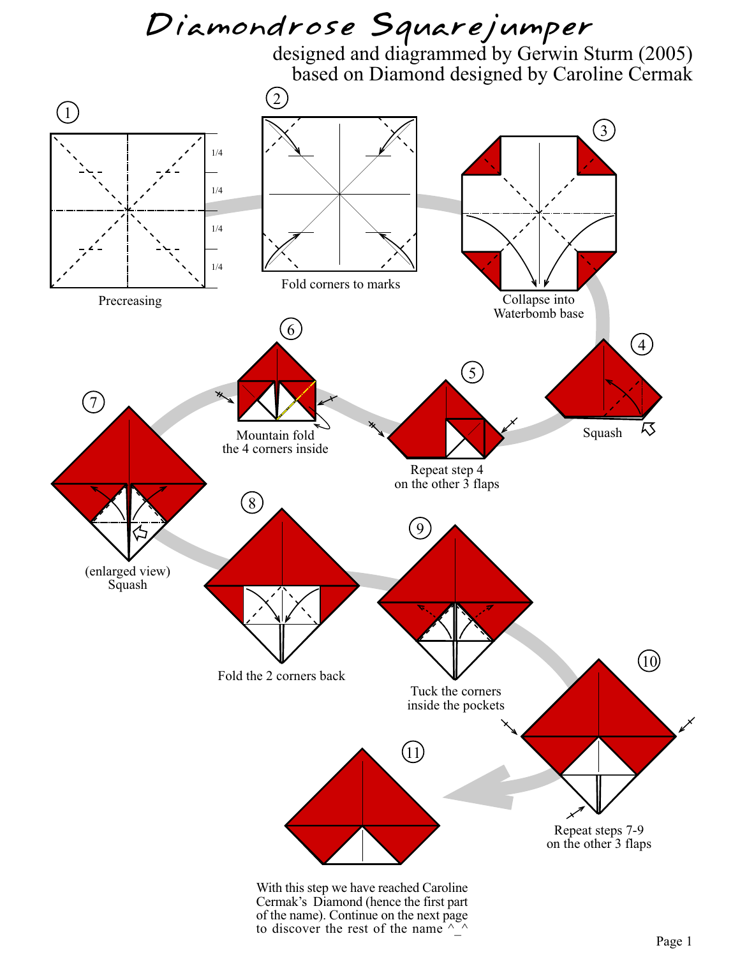## *Diamondrose Squarejumper*

designed and diagrammed by Gerwin Sturm (2005) based on Diamond designed by Caroline Cermak



to discover the rest of the name  $\wedge$   $\wedge$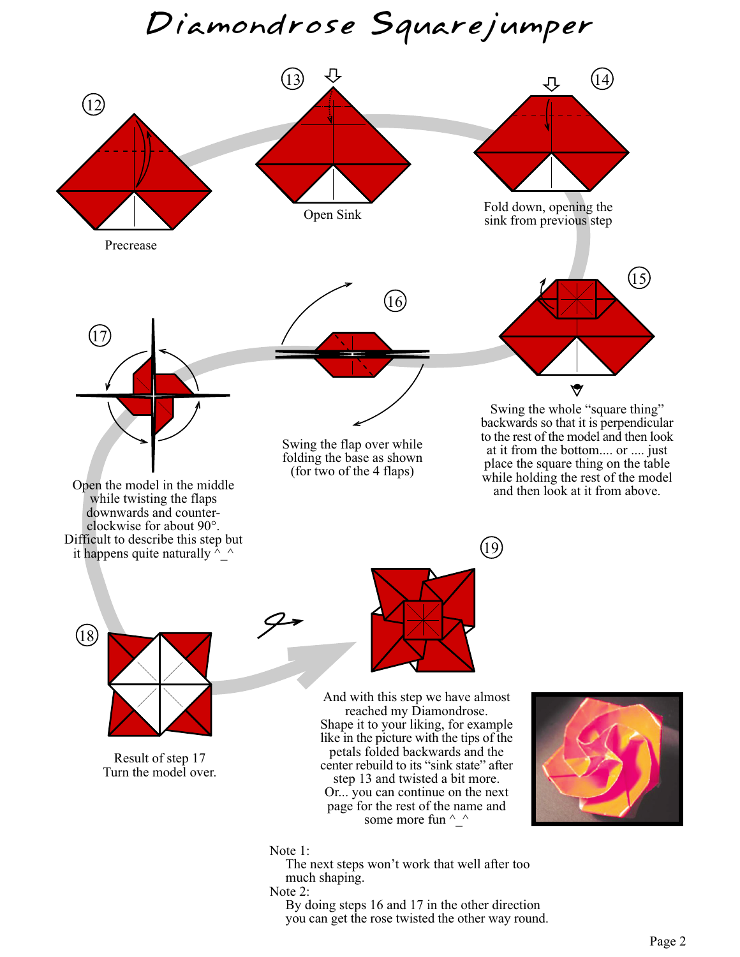*Diamondrose Squarejumper*



Note 2:

By doing steps 16 and 17 in the other direction you can get the rose twisted the other way round.